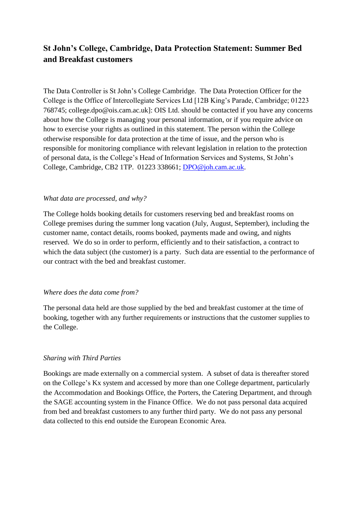# **St John's College, Cambridge, Data Protection Statement: Summer Bed and Breakfast customers**

The Data Controller is St John's College Cambridge. The Data Protection Officer for the College is the Office of Intercollegiate Services Ltd [12B King's Parade, Cambridge; 01223 768745; college.dpo@ois.cam.ac.uk]: OIS Ltd. should be contacted if you have any concerns about how the College is managing your personal information, or if you require advice on how to exercise your rights as outlined in this statement. The person within the College otherwise responsible for data protection at the time of issue, and the person who is responsible for monitoring compliance with relevant legislation in relation to the protection of personal data, is the College's Head of Information Services and Systems, St John's College, Cambridge, CB2 1TP. 01223 338661; [DPO@joh.cam.ac.uk.](mailto:DPO@joh.cam.ac.uk)

#### *What data are processed, and why?*

The College holds booking details for customers reserving bed and breakfast rooms on College premises during the summer long vacation (July, August, September), including the customer name, contact details, rooms booked, payments made and owing, and nights reserved. We do so in order to perform, efficiently and to their satisfaction, a contract to which the data subject (the customer) is a party. Such data are essential to the performance of our contract with the bed and breakfast customer.

#### *Where does the data come from?*

The personal data held are those supplied by the bed and breakfast customer at the time of booking, together with any further requirements or instructions that the customer supplies to the College.

# *Sharing with Third Parties*

Bookings are made externally on a commercial system. A subset of data is thereafter stored on the College's Kx system and accessed by more than one College department, particularly the Accommodation and Bookings Office, the Porters, the Catering Department, and through the SAGE accounting system in the Finance Office. We do not pass personal data acquired from bed and breakfast customers to any further third party. We do not pass any personal data collected to this end outside the European Economic Area.